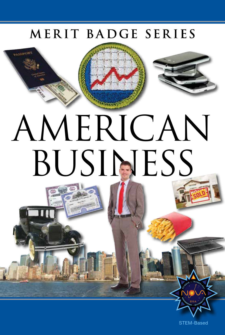## MERIT BADGE SERIES





# AMERICAN BUSINESS

STEM-Based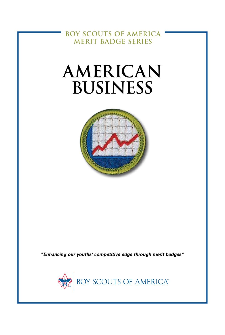**BOY SCOUTS OF AMERICA MERIT BADGE SERIES**

## **AMERICAN BUSINESS**



*"Enhancing our youths' competitive edge through merit badges"*

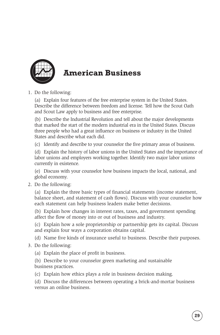

### **American Business**

1. Do the following:

(a) Explain four features of the free enterprise system in the United States. Describe the difference between freedom and license. Tell how the Scout Oath and Scout Law apply to business and free enterprise.

(b) Describe the Industrial Revolution and tell about the major developments that marked the start of the modern industrial era in the United States. Discuss three people who had a great influence on business or industry in the United States and describe what each did.

(c) Identify and describe to your counselor the five primary areas of business.

(d) Explain the history of labor unions in the United States and the importance of labor unions and employers working together. Identify two major labor unions currently in existence.

(e) Discuss with your counselor how business impacts the local, national, and global economy.

2. Do the following:

(a) Explain the three basic types of financial statements (income statement, balance sheet, and statement of cash flows). Discuss with your counselor how each statement can help business leaders make better decisions.

(b) Explain how changes in interest rates, taxes, and government spending affect the flow of money into or out of business and industry.

(c) Explain how a sole proprietorship or partnership gets its capital. Discuss and explain four ways a corporation obtains capital.

(d) Name five kinds of insurance useful to business. Describe their purposes.

3. Do the following:

(a) Explain the place of profit in business.

(b) Describe to your counselor green marketing and sustainable business practices.

(c) Explain how ethics plays a role in business decision making.

(d) Discuss the differences between operating a brick-and-mortar business versus an online business.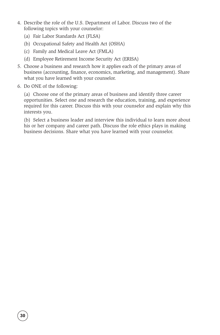- 4. Describe the role of the U.S. Department of Labor. Discuss two of the following topics with your counselor:
	- (a) Fair Labor Standards Act (FLSA)
	- (b) Occupational Safety and Health Act (OSHA)
	- (c) Family and Medical Leave Act (FMLA)
	- (d) Employee Retirement Income Security Act (ERISA)
- 5. Choose a business and research how it applies each of the primary areas of business (accounting, finance, economics, marketing, and management). Share what you have learned with your counselor.
- 6. Do ONE of the following:

(a) Choose one of the primary areas of business and identify three career opportunities. Select one and research the education, training, and experience required for this career. Discuss this with your counselor and explain why this interests you.

(b) Select a business leader and interview this individual to learn more about his or her company and career path. Discuss the role ethics plays in making business decisions. Share what you have learned with your counselor.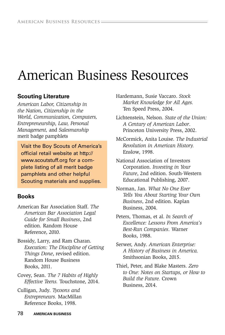## American Business Resources

#### **Scouting Literature**

*American Labor, Citizenship in the Nation, Citizenship in the World, Communication, Computers, Entrepreneurship, Law, Personal Management,* and *Salesmanship* merit badge pamphlets

Visit the Boy Scouts of America's official retail website at http:// www.scoutstuff.org for a complete listing of all merit badge pamphlets and other helpful Scouting materials and supplies.

#### **Books**

- American Bar Association Staff. *The American Bar Association Legal Guide for Small Business*, 2nd edition. Random House Reference, 2010.
- Bossidy, Larry, and Ram Charan. *Execution: The Discipline of Getting Things Done*, revised edition. Random House Business Books, 2011.
- Covey, Sean. *The 7 Habits of Highly Effective Teens.* Touchstone, 2014.
- Culligan, Judy. *Tycoons and Entrepreneurs.* MacMillan Reference Books, 1998.

Hardemann, Susie Vaccaro. *Stock Market Knowledge for All Ages.* Ten Speed Press, 2004.

- Lichtenstein, Nelson. *State of the Union: A Century of American Labor*. Princeton University Press, 2002.
- McCormick, Anita Louise. *The Industrial Revolution in American History.* Enslow, 1998.
- National Association of Investors Corporation. *Investing in Your Future*, 2nd edition. South-Western Educational Publishing, 2007.
- Norman, Jan. *What No One Ever Tells You About Starting Your Own Business*, 2nd edition. Kaplan Business, 2004.
- Peters, Thomas, et al. *In Search of Excellence: Lessons From America's Best-Run Companies*. Warner Books, 1988.
- Serwer, Andy. *American Enterprise: A History of Business in America.* Smithsonian Books, 2015.
- Thiel, Peter, and Blake Masters. *Zero to One: Notes on Startups, or How to Build the Future.* Crown Business, 2014.